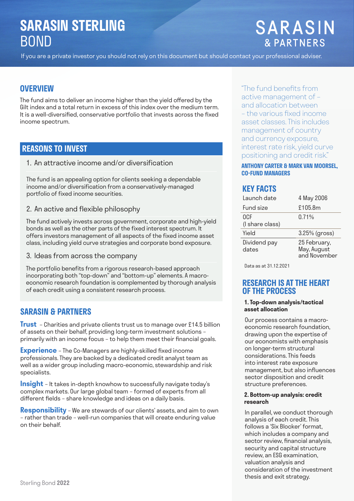# **SARASIN STERLING**  BOND

# **SARASIN & PARTNERS**

If you are a private investor you should not rely on this document but should contact your professional adviser.

## **OVERVIEW**

The fund aims to deliver an income higher than the vield offered by the Gilt index and a total return in excess of this index over the medium term. It is a well-diversified, conservative portfolio that invests across the fixed income spectrum.

## **REASONS TO INVEST**

1. An attractive income and/or diversification

The fund is an appealing option for clients seeking a dependable income and/or diversification from a conservatively-managed portfolio of fixed income securities.

2. An active and flexible philosophy

The fund actively invests across government, corporate and high-yield bonds as well as the other parts of the fixed interest spectrum. It offers investors management of all aspects of the fixed income asset class, including yield curve strategies and corporate bond exposure.

### 3. Ideas from across the company

The portfolio benefits from a rigorous research-based approach incorporating both "top-down" and "bottom-up" elements. A macroeconomic research foundation is complemented by thorough analysis of each credit using a consistent research process.

## **SARASIN & PARTNERS**

**Trust** – Charities and private clients trust us to manage over £14.5 billion of assets on their behalf, providing long-term investment solutions – primarily with an income focus - to help them meet their financial goals.

**Experience** - The Co-Managers are highly-skilled fixed income professionals. They are backed by a dedicated credit analyst team as well as a wider group including macro-economic, stewardship and risk specialists.

**Insight** – It takes in-depth knowhow to successfully navigate today's complex markets. Our large global team – formed of experts from all different fields - share knowledge and ideas on a daily basis.

**Responsibility** – We are stewards of our clients' assets, and aim to own – rather than trade – well-run companies that will create enduring value on their behalf.

"The fund benefits from active management of – and allocation between – the various fixed income asset classes. This includes management of country and currency exposure, interest rate risk, yield curve positioning and credit risk."

## **ANTHONY CARTER & MARK VAN MOORSEL, CO-FUND MANAGERS**

## **KEY FACTS**

| l aunch date           | 4 May 2006                                  |
|------------------------|---------------------------------------------|
| <b>Fund size</b>       | £105.8m                                     |
| 0CF<br>(I share class) | 0.71%                                       |
| Yield                  | 3.25% (gross)                               |
| Dividend pay<br>dates  | 25 February,<br>May, August<br>and November |

Data as at 31.12.2021

## **RESEARCH IS AT THE HEART OF THE PROCESS**

#### **1. Top-down analysis/tactical asset allocation**

Our process contains a macroeconomic research foundation, drawing upon the expertise of our economists with emphasis on longer-term structural considerations. This feeds into interest rate exposure management, but also influences sector disposition and credit structure preferences.

#### **2. Bottom-up analysis: credit research**

In parallel, we conduct thorough analysis of each credit. This follows a 'Six Blocker' format, which includes a company and sector review, financial analysis, security and capital structure review, an ESG examination, valuation analysis and consideration of the investment thesis and exit strategy.